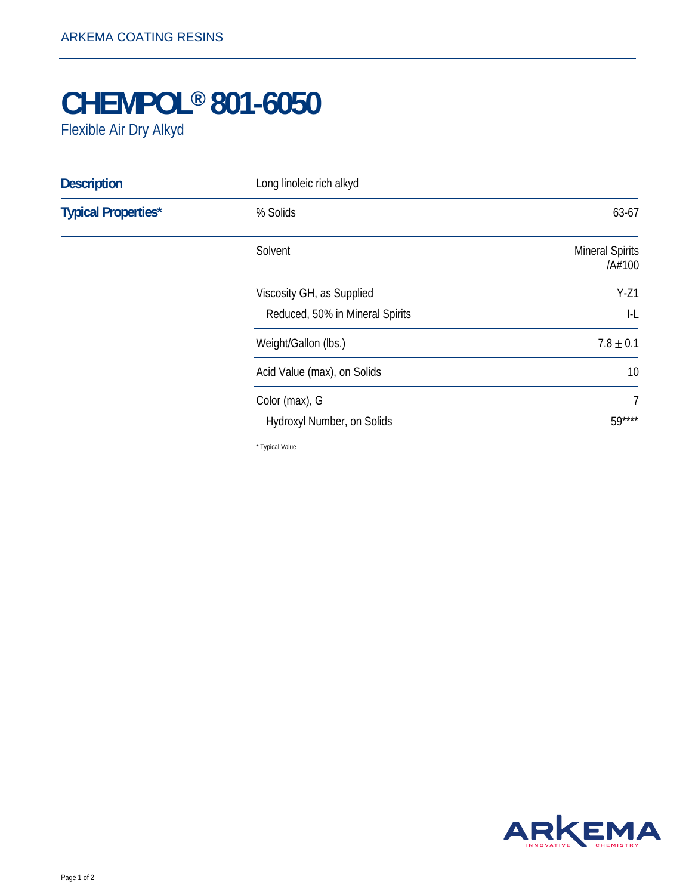## **CHEMPOL® 801-6050**

Flexible Air Dry Alkyd

| <b>Description</b>         | Long linoleic rich alkyd        |                                  |
|----------------------------|---------------------------------|----------------------------------|
| <b>Typical Properties*</b> | % Solids                        | 63-67                            |
|                            | Solvent                         | <b>Mineral Spirits</b><br>/A#100 |
|                            | Viscosity GH, as Supplied       | $Y-Z1$                           |
|                            | Reduced, 50% in Mineral Spirits | $  -  $                          |
|                            | Weight/Gallon (lbs.)            | $7.8 \pm 0.1$                    |
|                            | Acid Value (max), on Solids     | 10                               |
|                            | Color (max), G                  | $\overline{7}$                   |
|                            | Hydroxyl Number, on Solids      | 59****                           |
|                            |                                 |                                  |

\* Typical Value